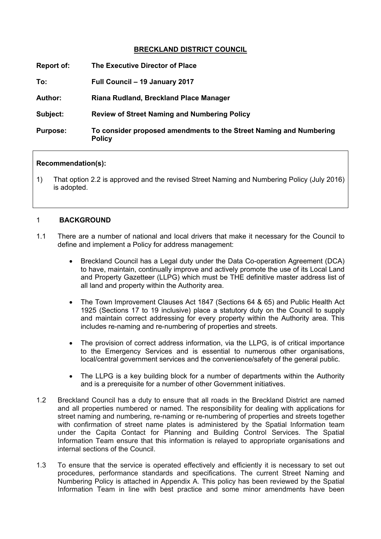# **BRECKLAND DISTRICT COUNCIL**

| Report of:      | The Executive Director of Place                                                     |
|-----------------|-------------------------------------------------------------------------------------|
| To:             | Full Council - 19 January 2017                                                      |
| <b>Author:</b>  | Riana Rudland, Breckland Place Manager                                              |
| Subject:        | <b>Review of Street Naming and Numbering Policy</b>                                 |
| <b>Purpose:</b> | To consider proposed amendments to the Street Naming and Numbering<br><b>Policy</b> |

### **Recommendation(s):**

1) That option 2.2 is approved and the revised Street Naming and Numbering Policy (July 2016) is adopted.

### 1 **BACKGROUND**

- 1.1 There are a number of national and local drivers that make it necessary for the Council to define and implement a Policy for address management:
	- Breckland Council has a Legal duty under the Data Co-operation Agreement (DCA) to have, maintain, continually improve and actively promote the use of its Local Land and Property Gazetteer (LLPG) which must be THE definitive master address list of all land and property within the Authority area.
	- The Town Improvement Clauses Act 1847 (Sections 64 & 65) and Public Health Act 1925 (Sections 17 to 19 inclusive) place a statutory duty on the Council to supply and maintain correct addressing for every property within the Authority area. This includes re-naming and re-numbering of properties and streets.
	- The provision of correct address information, via the LLPG, is of critical importance to the Emergency Services and is essential to numerous other organisations, local/central government services and the convenience/safety of the general public.
	- The LLPG is a key building block for a number of departments within the Authority and is a prerequisite for a number of other Government initiatives.
- 1.2 Breckland Council has a duty to ensure that all roads in the Breckland District are named and all properties numbered or named. The responsibility for dealing with applications for street naming and numbering, re-naming or re-numbering of properties and streets together with confirmation of street name plates is administered by the Spatial Information team under the Capita Contact for Planning and Building Control Services. The Spatial Information Team ensure that this information is relayed to appropriate organisations and internal sections of the Council.
- 1.3 To ensure that the service is operated effectively and efficiently it is necessary to set out procedures, performance standards and specifications. The current Street Naming and Numbering Policy is attached in Appendix A. This policy has been reviewed by the Spatial Information Team in line with best practice and some minor amendments have been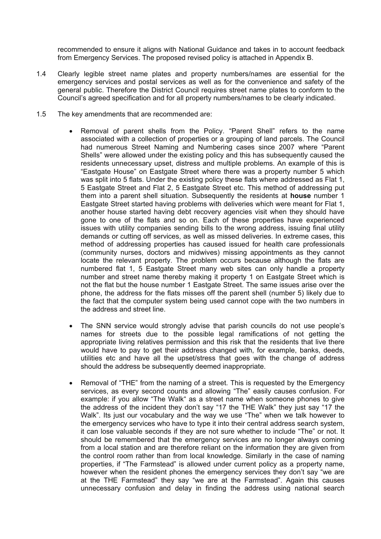recommended to ensure it aligns with National Guidance and takes in to account feedback from Emergency Services. The proposed revised policy is attached in Appendix B.

- 1.4 Clearly legible street name plates and property numbers/names are essential for the emergency services and postal services as well as for the convenience and safety of the general public. Therefore the District Council requires street name plates to conform to the Council's agreed specification and for all property numbers/names to be clearly indicated.
- 1.5 The key amendments that are recommended are:
	- Removal of parent shells from the Policy. "Parent Shell" refers to the name associated with a collection of properties or a grouping of land parcels. The Council had numerous Street Naming and Numbering cases since 2007 where "Parent Shells" were allowed under the existing policy and this has subsequently caused the residents unnecessary upset, distress and multiple problems. An example of this is "Eastgate House" on Eastgate Street where there was a property number 5 which was split into 5 flats. Under the existing policy these flats where addressed as Flat 1, 5 Eastgate Street and Flat 2, 5 Eastgate Street etc. This method of addressing put them into a parent shell situation. Subsequently the residents at **house** number 1 Eastgate Street started having problems with deliveries which were meant for Flat 1, another house started having debt recovery agencies visit when they should have gone to one of the flats and so on. Each of these properties have experienced issues with utility companies sending bills to the wrong address, issuing final utility demands or cutting off services, as well as missed deliveries. In extreme cases, this method of addressing properties has caused issued for health care professionals (community nurses, doctors and midwives) missing appointments as they cannot locate the relevant property. The problem occurs because although the flats are numbered flat 1, 5 Eastgate Street many web sites can only handle a property number and street name thereby making it property 1 on Eastgate Street which is not the flat but the house number 1 Eastgate Street. The same issues arise over the phone, the address for the flats misses off the parent shell (number 5) likely due to the fact that the computer system being used cannot cope with the two numbers in the address and street line.
	- The SNN service would strongly advise that parish councils do not use people's names for streets due to the possible legal ramifications of not getting the appropriate living relatives permission and this risk that the residents that live there would have to pay to get their address changed with, for example, banks, deeds, utilities etc and have all the upset/stress that goes with the change of address should the address be subsequently deemed inappropriate.
	- Removal of "THE" from the naming of a street. This is requested by the Emergency services, as every second counts and allowing "The" easily causes confusion. For example: if you allow "The Walk" as a street name when someone phones to give the address of the incident they don't say "17 the THE Walk" they just say "17 the Walk". Its just our vocabulary and the way we use "The" when we talk however to the emergency services who have to type it into their central address search system, it can lose valuable seconds if they are not sure whether to include "The" or not. It should be remembered that the emergency services are no longer always coming from a local station and are therefore reliant on the information they are given from the control room rather than from local knowledge. Similarly in the case of naming properties, if "The Farmstead" is allowed under current policy as a property name, however when the resident phones the emergency services they don't say "we are at the THE Farmstead" they say "we are at the Farmstead". Again this causes unnecessary confusion and delay in finding the address using national search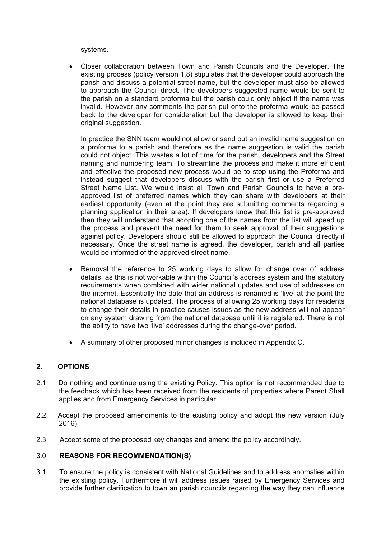systems.

 Closer collaboration between Town and Parish Councils and the Developer. The existing process (policy version 1.8) stipulates that the developer could approach the parish and discuss a potential street name, but the developer must also be allowed to approach the Council direct. The developers suggested name would be sent to the parish on a standard proforma but the parish could only object if the name was invalid. However any comments the parish put onto the proforma would be passed back to the developer for consideration but the developer is allowed to keep their original suggestion.

In practice the SNN team would not allow or send out an invalid name suggestion on a proforma to a parish and therefore as the name suggestion is valid the parish could not object. This wastes a lot of time for the parish, developers and the Street naming and numbering team. To streamline the process and make it more efficient and effective the proposed new process would be to stop using the Proforma and instead suggest that developers discuss with the parish first or use a Preferred Street Name List. We would insist all Town and Parish Councils to have a preapproved list of preferred names which they can share with developers at their earliest opportunity (even at the point they are submitting comments regarding a planning application in their area). If developers know that this list is pre-approved then they will understand that adopting one of the names from the list will speed up the process and prevent the need for them to seek approval of their suggestions against policy. Developers should still be allowed to approach the Council directly if necessary. Once the street name is agreed, the developer, parish and all parties would be informed of the approved street name.

- Removal the reference to 25 working days to allow for change over of address details, as this is not workable within the Council's address system and the statutory requirements when combined with wider national updates and use of addresses on the internet. Essentially the date that an address is renamed is 'live' at the point the national database is updated. The process of allowing 25 working days for residents to change their details in practice causes issues as the new address will not appear on any system drawing from the national database until it is registered. There is not the ability to have two 'live' addresses during the change-over period.
- A summary of other proposed minor changes is included in Appendix C.

# **2. OPTIONS**

- 2.1 Do nothing and continue using the existing Policy. This option is not recommended due to the feedback which has been received from the residents of properties where Parent Shall applies and from Emergency Services in particular.
- 2.2 Accept the proposed amendments to the existing policy and adopt the new version (July 2016).
- 2.3 Accept some of the proposed key changes and amend the policy accordingly.

# 3.0 **REASONS FOR RECOMMENDATION(S)**

3.1 To ensure the policy is consistent with National Guidelines and to address anomalies within the existing policy. Furthermore it will address issues raised by Emergency Services and provide further clarification to town an parish councils regarding the way they can influence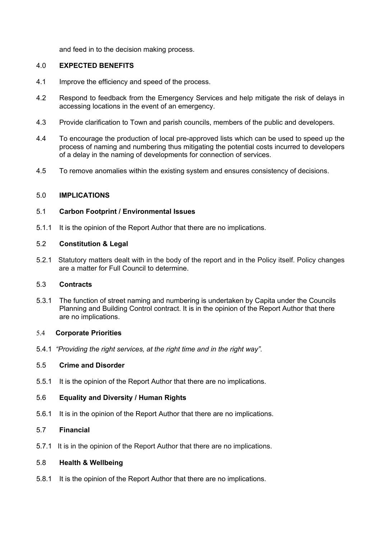and feed in to the decision making process.

### 4.0 **EXPECTED BENEFITS**

- 4.1 Improve the efficiency and speed of the process.
- 4.2 Respond to feedback from the Emergency Services and help mitigate the risk of delays in accessing locations in the event of an emergency.
- 4.3 Provide clarification to Town and parish councils, members of the public and developers.
- 4.4 To encourage the production of local pre-approved lists which can be used to speed up the process of naming and numbering thus mitigating the potential costs incurred to developers of a delay in the naming of developments for connection of services.
- 4.5 To remove anomalies within the existing system and ensures consistency of decisions.

### 5.0 **IMPLICATIONS**

### 5.1 **Carbon Footprint / Environmental Issues**

5.1.1 It is the opinion of the Report Author that there are no implications.

### 5.2 **Constitution & Legal**

5.2.1 Statutory matters dealt with in the body of the report and in the Policy itself. Policy changes are a matter for Full Council to determine.

# 5.3 **Contracts**

5.3.1 The function of street naming and numbering is undertaken by Capita under the Councils Planning and Building Control contract. It is in the opinion of the Report Author that there are no implications.

#### 5.4 **Corporate Priorities**

5.4.1 *"Providing the right services, at the right time and in the right way".*

# 5.5 **Crime and Disorder**

5.5.1 It is the opinion of the Report Author that there are no implications.

# 5.6 **Equality and Diversity / Human Rights**

5.6.1 It is in the opinion of the Report Author that there are no implications.

#### 5.7 **Financial**

5.7.1 It is in the opinion of the Report Author that there are no implications.

# 5.8 **Health & Wellbeing**

5.8.1 It is the opinion of the Report Author that there are no implications.